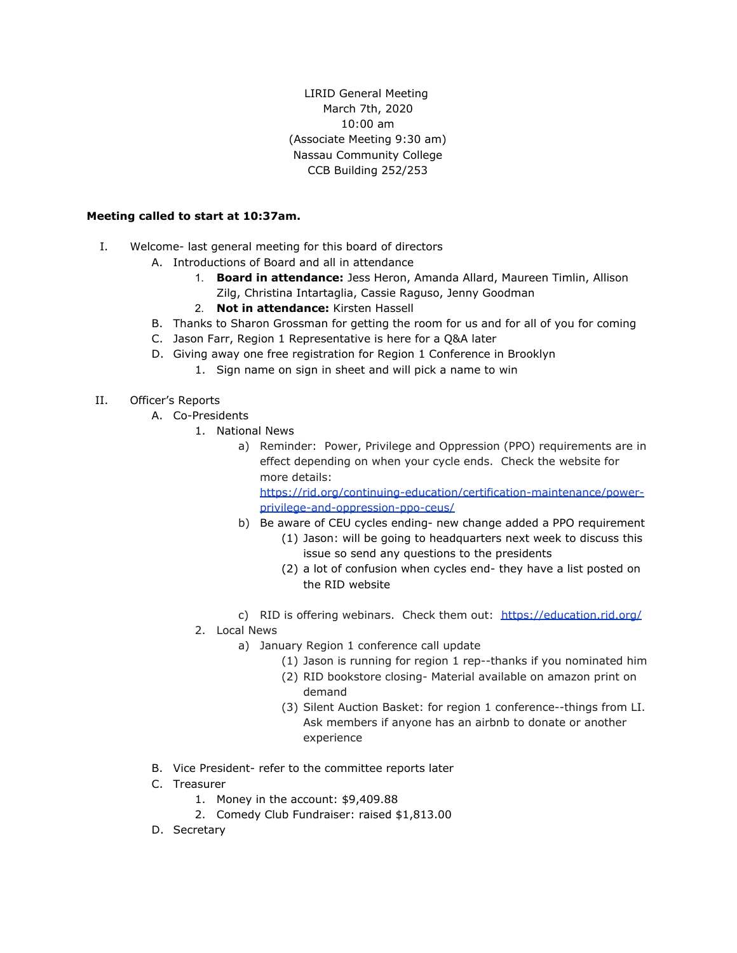LIRID General Meeting March 7th, 2020 10:00 am (Associate Meeting 9:30 am) Nassau Community College CCB Building 252/253

### **Meeting called to start at 10:37am.**

- I. Welcome- last general meeting for this board of directors
	- A. Introductions of Board and all in attendance
		- 1. **Board in attendance:** Jess Heron, Amanda Allard, Maureen Timlin, Allison Zilg, Christina Intartaglia, Cassie Raguso, Jenny Goodman
		- 2. **Not in attendance:** Kirsten Hassell
	- B. Thanks to Sharon Grossman for getting the room for us and for all of you for coming
	- C. Jason Farr, Region 1 Representative is here for a Q&A later
	- D. Giving away one free registration for Region 1 Conference in Brooklyn
		- 1. Sign name on sign in sheet and will pick a name to win
- II. Officer's Reports
	- A. Co-Presidents
		- 1. National News
			- a) Reminder: Power, Privilege and Oppression (PPO) requirements are in effect depending on when your cycle ends. Check the website for more details:

[https://rid.org/continuing-education/certification-maintenance/power](https://rid.org/continuing-education/certification-maintenance/power-privilege-and-oppression-ppo-ceus/)[privilege-and-oppression-ppo-ceus/](https://rid.org/continuing-education/certification-maintenance/power-privilege-and-oppression-ppo-ceus/)

- b) Be aware of CEU cycles ending- new change added a PPO requirement
	- (1) Jason: will be going to headquarters next week to discuss this issue so send any questions to the presidents
	- (2) a lot of confusion when cycles end- they have a list posted on the RID website
- c) RID is offering webinars. Check them out:<https://education.rid.org/>

#### 2. Local News

- a) January Region 1 conference call update
	- (1) Jason is running for region 1 rep--thanks if you nominated him
	- (2) RID bookstore closing- Material available on amazon print on demand
	- (3) Silent Auction Basket: for region 1 conference--things from LI. Ask members if anyone has an airbnb to donate or another experience
- B. Vice President- refer to the committee reports later
- C. Treasurer
	- 1. Money in the account: \$9,409.88
	- 2. Comedy Club Fundraiser: raised \$1,813.00
- D. Secretary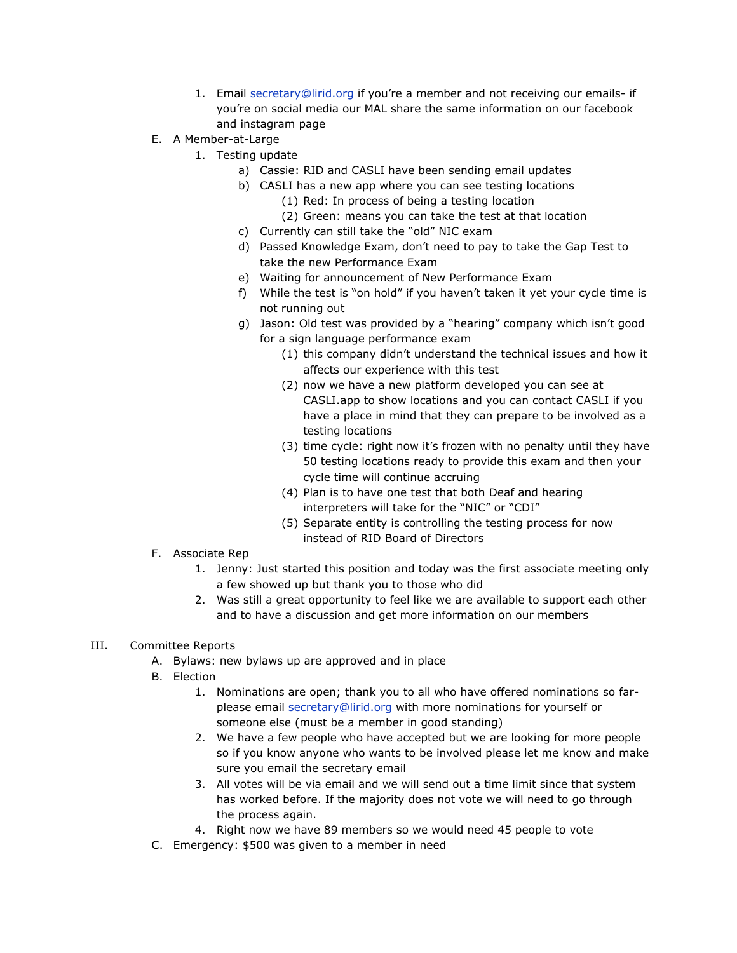- 1. Email secretary@lirid.org if you're a member and not receiving our emails- if you're on social media our MAL share the same information on our facebook and instagram page
- E. A Member-at-Large
	- 1. Testing update
		- a) Cassie: RID and CASLI have been sending email updates
		- b) CASLI has a new app where you can see testing locations
			- (1) Red: In process of being a testing location
			- (2) Green: means you can take the test at that location
		- c) Currently can still take the "old" NIC exam
		- d) Passed Knowledge Exam, don't need to pay to take the Gap Test to take the new Performance Exam
		- e) Waiting for announcement of New Performance Exam
		- f) While the test is "on hold" if you haven't taken it yet your cycle time is not running out
		- g) Jason: Old test was provided by a "hearing" company which isn't good for a sign language performance exam
			- (1) this company didn't understand the technical issues and how it affects our experience with this test
			- (2) now we have a new platform developed you can see at CASLI.app to show locations and you can contact CASLI if you have a place in mind that they can prepare to be involved as a testing locations
			- (3) time cycle: right now it's frozen with no penalty until they have 50 testing locations ready to provide this exam and then your cycle time will continue accruing
			- (4) Plan is to have one test that both Deaf and hearing interpreters will take for the "NIC" or "CDI"
			- (5) Separate entity is controlling the testing process for now instead of RID Board of Directors
- F. Associate Rep
	- 1. Jenny: Just started this position and today was the first associate meeting only a few showed up but thank you to those who did
	- 2. Was still a great opportunity to feel like we are available to support each other and to have a discussion and get more information on our members

# III. Committee Reports

- A. Bylaws: new bylaws up are approved and in place
- B. Election
	- 1. Nominations are open; thank you to all who have offered nominations so farplease email secretary@lirid.org with more nominations for yourself or someone else (must be a member in good standing)
	- 2. We have a few people who have accepted but we are looking for more people so if you know anyone who wants to be involved please let me know and make sure you email the secretary email
	- 3. All votes will be via email and we will send out a time limit since that system has worked before. If the majority does not vote we will need to go through the process again.
	- 4. Right now we have 89 members so we would need 45 people to vote
- C. Emergency: \$500 was given to a member in need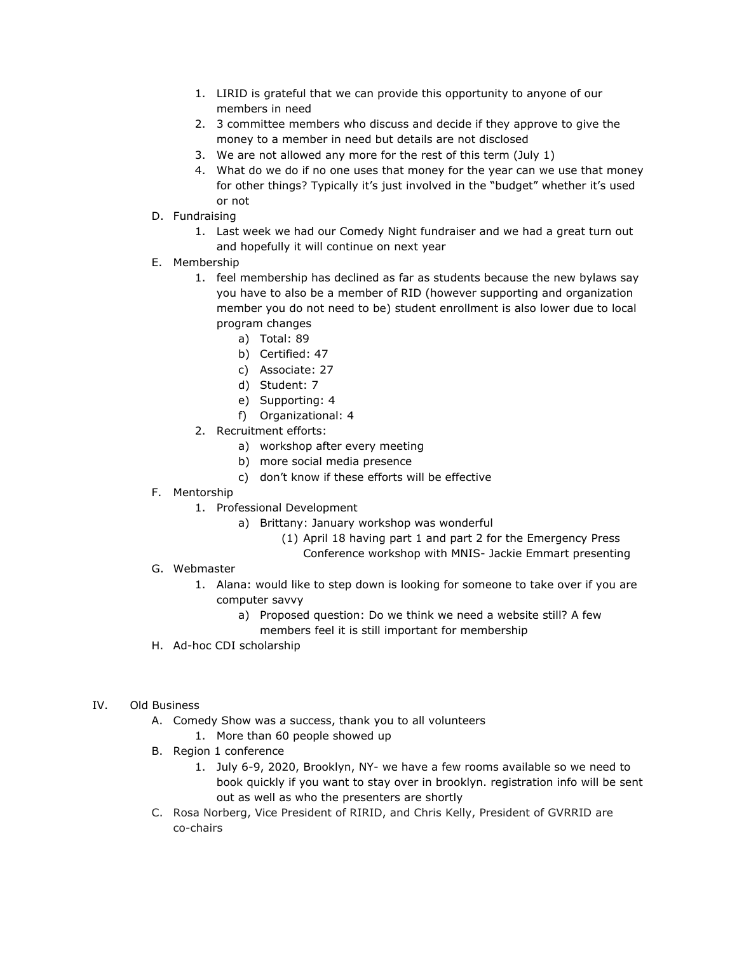- 1. LIRID is grateful that we can provide this opportunity to anyone of our members in need
- 2. 3 committee members who discuss and decide if they approve to give the money to a member in need but details are not disclosed
- 3. We are not allowed any more for the rest of this term (July 1)
- 4. What do we do if no one uses that money for the year can we use that money for other things? Typically it's just involved in the "budget" whether it's used or not
- D. Fundraising
	- 1. Last week we had our Comedy Night fundraiser and we had a great turn out and hopefully it will continue on next year
- E. Membership
	- 1. feel membership has declined as far as students because the new bylaws say you have to also be a member of RID (however supporting and organization member you do not need to be) student enrollment is also lower due to local program changes
		- a) Total: 89
		- b) Certified: 47
		- c) Associate: 27
		- d) Student: 7
		- e) Supporting: 4
		- f) Organizational: 4
	- 2. Recruitment efforts:
		- a) workshop after every meeting
		- b) more social media presence
		- c) don't know if these efforts will be effective
- F. Mentorship
	- 1. Professional Development
		- a) Brittany: January workshop was wonderful
			- (1) April 18 having part 1 and part 2 for the Emergency Press
				- Conference workshop with MNIS- Jackie Emmart presenting

# G. Webmaster

- 1. Alana: would like to step down is looking for someone to take over if you are computer savvy
	- a) Proposed question: Do we think we need a website still? A few members feel it is still important for membership
- H. Ad-hoc CDI scholarship

#### IV. Old Business

- A. Comedy Show was a success, thank you to all volunteers
	- 1. More than 60 people showed up
- B. Region 1 conference
	- 1. July 6-9, 2020, Brooklyn, NY- we have a few rooms available so we need to book quickly if you want to stay over in brooklyn. registration info will be sent out as well as who the presenters are shortly
- C. Rosa Norberg, Vice President of RIRID, and Chris Kelly, President of GVRRID are co-chairs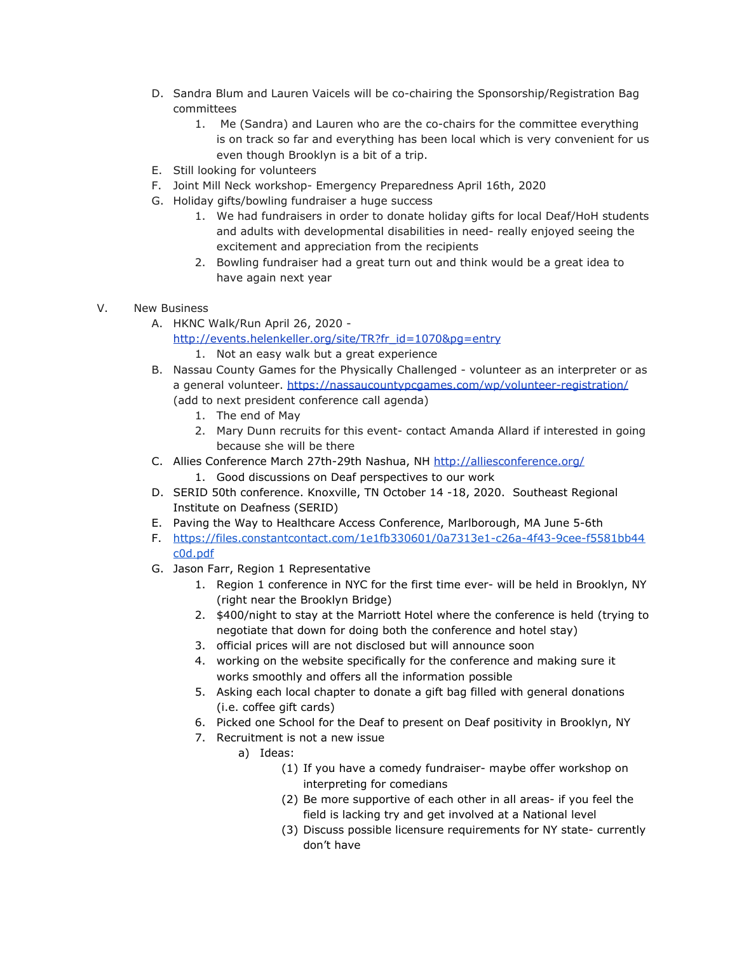- D. Sandra Blum and Lauren Vaicels will be co-chairing the Sponsorship/Registration Bag committees
	- 1. Me (Sandra) and Lauren who are the co-chairs for the committee everything is on track so far and everything has been local which is very convenient for us even though Brooklyn is a bit of a trip.
- E. Still looking for volunteers
- F. Joint Mill Neck workshop- Emergency Preparedness April 16th, 2020
- G. Holiday gifts/bowling fundraiser a huge success
	- 1. We had fundraisers in order to donate holiday gifts for local Deaf/HoH students and adults with developmental disabilities in need- really enjoyed seeing the excitement and appreciation from the recipients
	- 2. Bowling fundraiser had a great turn out and think would be a great idea to have again next year
- V. New Business
	- A. HKNC Walk/Run April 26, 2020 -

[http://events.helenkeller.org/site/TR?fr\\_id=1070&pg=entry](http://events.helenkeller.org/site/TR?fr_id=1070&pg=entry)

- 1. Not an easy walk but a great experience
- B. Nassau County Games for the Physically Challenged volunteer as an interpreter or as a general volunteer. <https://nassaucountypcgames.com/wp/volunteer-registration/> (add to next president conference call agenda)
	- 1. The end of May
	- 2. Mary Dunn recruits for this event- contact Amanda Allard if interested in going because she will be there
- C. Allies Conference March 27th-29th Nashua, NH <http://alliesconference.org/>
	- 1. Good discussions on Deaf perspectives to our work
- D. SERID 50th conference. Knoxville, TN October 14 -18, 2020. Southeast Regional Institute on Deafness (SERID)
- E. Paving the Way to Healthcare Access Conference, Marlborough, MA June 5-6th
- F. [https://files.constantcontact.com/1e1fb330601/0a7313e1-c26a-4f43-9cee-f5581bb44](https://files.constantcontact.com/1e1fb330601/0a7313e1-c26a-4f43-9cee-f5581bb44c0d.pdf) [c0d.pdf](https://files.constantcontact.com/1e1fb330601/0a7313e1-c26a-4f43-9cee-f5581bb44c0d.pdf)
- G. Jason Farr, Region 1 Representative
	- 1. Region 1 conference in NYC for the first time ever- will be held in Brooklyn, NY (right near the Brooklyn Bridge)
	- 2. \$400/night to stay at the Marriott Hotel where the conference is held (trying to negotiate that down for doing both the conference and hotel stay)
	- 3. official prices will are not disclosed but will announce soon
	- 4. working on the website specifically for the conference and making sure it works smoothly and offers all the information possible
	- 5. Asking each local chapter to donate a gift bag filled with general donations (i.e. coffee gift cards)
	- 6. Picked one School for the Deaf to present on Deaf positivity in Brooklyn, NY
	- 7. Recruitment is not a new issue
		- a) Ideas:
			- (1) If you have a comedy fundraiser- maybe offer workshop on interpreting for comedians
			- (2) Be more supportive of each other in all areas- if you feel the field is lacking try and get involved at a National level
			- (3) Discuss possible licensure requirements for NY state- currently don't have